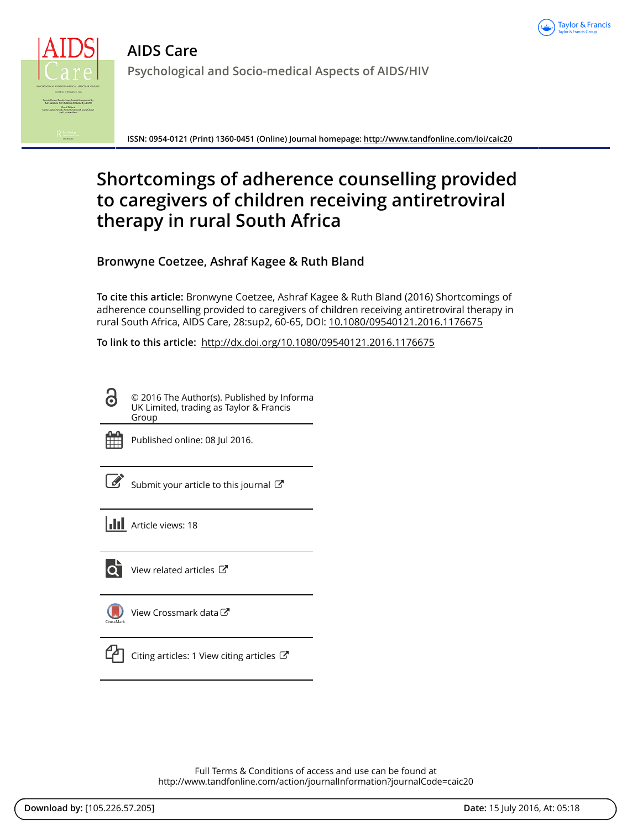



**ISSN: 0954-0121 (Print) 1360-0451 (Online) Journal homepage:<http://www.tandfonline.com/loi/caic20>**

# **Shortcomings of adherence counselling provided to caregivers of children receiving antiretroviral therapy in rural South Africa**

**Bronwyne Coetzee, Ashraf Kagee & Ruth Bland**

**To cite this article:** Bronwyne Coetzee, Ashraf Kagee & Ruth Bland (2016) Shortcomings of adherence counselling provided to caregivers of children receiving antiretroviral therapy in rural South Africa, AIDS Care, 28:sup2, 60-65, DOI: [10.1080/09540121.2016.1176675](http://www.tandfonline.com/action/showCitFormats?doi=10.1080/09540121.2016.1176675)

**To link to this article:** <http://dx.doi.org/10.1080/09540121.2016.1176675>

<u>ල්</u> © 2016 The Author(s). Published by Informa UK Limited, trading as Taylor & Francis Group



Published online: 08 Jul 2016.

|--|

[Submit your article to this journal](http://www.tandfonline.com/action/authorSubmission?journalCode=caic20&page=instructions)  $\mathbb{Z}$ 

**III** Article views: 18



 $\overline{Q}$  [View related articles](http://www.tandfonline.com/doi/mlt/10.1080/09540121.2016.1176675)  $\overline{G}$ 

[View Crossmark data](http://crossmark.crossref.org/dialog/?doi=10.1080/09540121.2016.1176675&domain=pdf&date_stamp=2016-07-08)<sup>C</sup>



[Citing articles: 1 View citing articles](http://www.tandfonline.com/doi/citedby/10.1080/09540121.2016.1176675#tabModule)  $\mathbb{Z}$ 

Full Terms & Conditions of access and use can be found at <http://www.tandfonline.com/action/journalInformation?journalCode=caic20>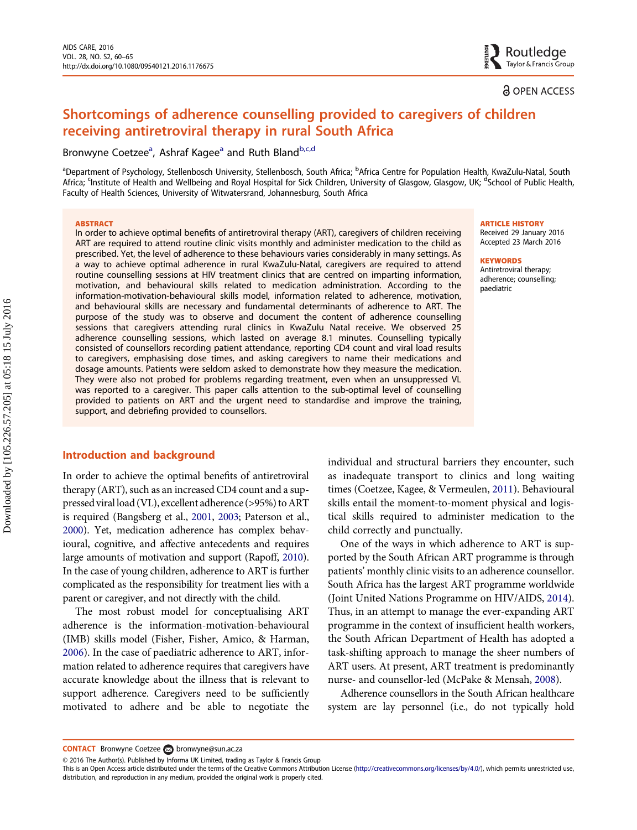# <span id="page-1-0"></span>Shortcomings of adherence counselling provided to caregivers of children receiving antiretroviral therapy in rural South Africa

Bronwyne Coetzee<sup>a</sup>, Ashraf Kagee<sup>a</sup> and Ruth Bland<sup>b,c,d</sup>

<sup>a</sup>Department of Psychology, Stellenbosch University, Stellenbosch, South Africa; <sup>b</sup>Africa Centre for Population Health, KwaZulu-Natal, South Africa; <sup>c</sup>Institute of Health and Wellbeing and Royal Hospital for Sick Children, University of Glasgow, Glasgow, UK; <sup>d</sup>School of Public Health, Faculty of Health Sciences, University of Witwatersrand, Johannesburg, South Africa

#### **ABSTRACT**

In order to achieve optimal benefits of antiretroviral therapy (ART), caregivers of children receiving ART are required to attend routine clinic visits monthly and administer medication to the child as prescribed. Yet, the level of adherence to these behaviours varies considerably in many settings. As a way to achieve optimal adherence in rural KwaZulu-Natal, caregivers are required to attend routine counselling sessions at HIV treatment clinics that are centred on imparting information, motivation, and behavioural skills related to medication administration. According to the information-motivation-behavioural skills model, information related to adherence, motivation, and behavioural skills are necessary and fundamental determinants of adherence to ART. The purpose of the study was to observe and document the content of adherence counselling sessions that caregivers attending rural clinics in KwaZulu Natal receive. We observed 25 adherence counselling sessions, which lasted on average 8.1 minutes. Counselling typically consisted of counsellors recording patient attendance, reporting CD4 count and viral load results to caregivers, emphasising dose times, and asking caregivers to name their medications and dosage amounts. Patients were seldom asked to demonstrate how they measure the medication. They were also not probed for problems regarding treatment, even when an unsuppressed VL was reported to a caregiver. This paper calls attention to the sub-optimal level of counselling provided to patients on ART and the urgent need to standardise and improve the training, support, and debriefing provided to counsellors.

# Introduction and background

In order to achieve the optimal benefits of antiretroviral therapy (ART), such as an increased CD4 count and a suppressed viral load (VL), excellent adherence (>95%) toART is required (Bangsberg et al., [2001,](#page-6-0) [2003](#page-6-0); Paterson et al., [2000\)](#page-6-0). Yet, medication adherence has complex behavioural, cognitive, and affective antecedents and requires large amounts of motivation and support (Rapoff, [2010\)](#page-6-0). In the case of young children, adherence to ART is further complicated as the responsibility for treatment lies with a parent or caregiver, and not directly with the child.

The most robust model for conceptualising ART adherence is the information-motivation-behavioural (IMB) skills model (Fisher, Fisher, Amico, & Harman, [2006](#page-6-0)). In the case of paediatric adherence to ART, information related to adherence requires that caregivers have accurate knowledge about the illness that is relevant to support adherence. Caregivers need to be sufficiently motivated to adhere and be able to negotiate the individual and structural barriers they encounter, such as inadequate transport to clinics and long waiting times (Coetzee, Kagee, & Vermeulen, [2011](#page-6-0)). Behavioural skills entail the moment-to-moment physical and logistical skills required to administer medication to the child correctly and punctually.

One of the ways in which adherence to ART is supported by the South African ART programme is through patients' monthly clinic visits to an adherence counsellor. South Africa has the largest ART programme worldwide (Joint United Nations Programme on HIV/AIDS, [2014\)](#page-6-0). Thus, in an attempt to manage the ever-expanding ART programme in the context of insufficient health workers, the South African Department of Health has adopted a task-shifting approach to manage the sheer numbers of ART users. At present, ART treatment is predominantly nurse- and counsellor-led (McPake & Mensah, [2008\)](#page-6-0).

Adherence counsellors in the South African healthcare system are lay personnel (i.e., do not typically hold

ARTICLE HISTORY Received 29 January 2016

Accepted 23 March 2016

#### **KEYWORDS**

Antiretroviral therapy; adherence; counselling; paediatric

ခါ OPEN ACCESS

CONTACT Bronwyne Coetzee a [bronwyne@sun.ac.za](mailto:bronwyne@sun.ac.za)

<sup>© 2016</sup> The Author(s). Published by Informa UK Limited, trading as Taylor & Francis Group

This is an Open Access article distributed under the terms of the Creative Commons Attribution License (<http://creativecommons.org/licenses/by/4.0/>), which permits unrestricted use, distribution, and reproduction in any medium, provided the original work is properly cited.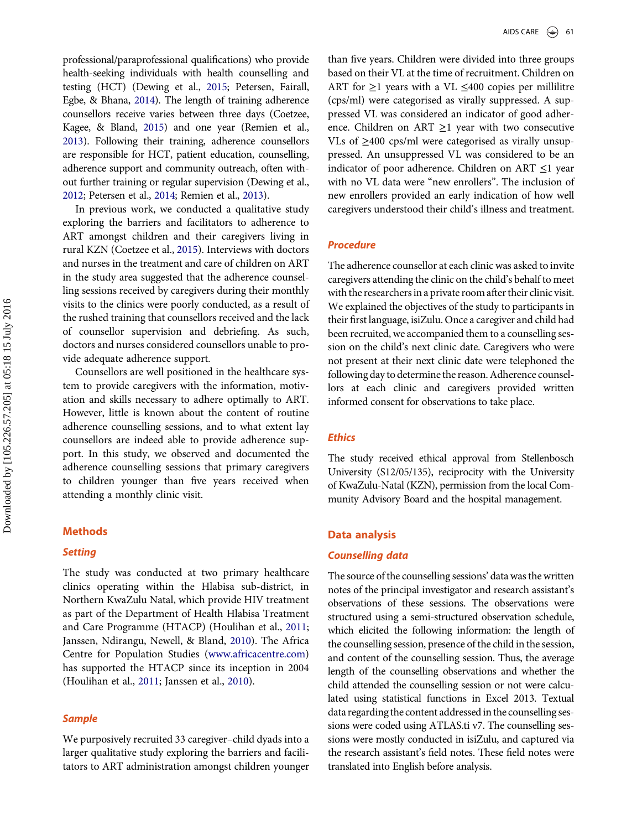<span id="page-2-0"></span>professional/paraprofessional qualifications) who provide health-seeking individuals with health counselling and testing (HCT) (Dewing et al., [2015](#page-6-0); Petersen, Fairall, Egbe, & Bhana, [2014](#page-6-0)). The length of training adherence counsellors receive varies between three days (Coetzee, Kagee, & Bland, [2015\)](#page-6-0) and one year (Remien et al., [2013\)](#page-6-0). Following their training, adherence counsellors are responsible for HCT, patient education, counselling, adherence support and community outreach, often without further training or regular supervision (Dewing et al., [2012;](#page-6-0) Petersen et al., [2014](#page-6-0); Remien et al., [2013\)](#page-6-0).

In previous work, we conducted a qualitative study exploring the barriers and facilitators to adherence to ART amongst children and their caregivers living in rural KZN (Coetzee et al., [2015](#page-6-0)). Interviews with doctors and nurses in the treatment and care of children on ART in the study area suggested that the adherence counselling sessions received by caregivers during their monthly visits to the clinics were poorly conducted, as a result of the rushed training that counsellors received and the lack of counsellor supervision and debriefing. As such, doctors and nurses considered counsellors unable to provide adequate adherence support.

Counsellors are well positioned in the healthcare system to provide caregivers with the information, motivation and skills necessary to adhere optimally to ART. However, little is known about the content of routine adherence counselling sessions, and to what extent lay counsellors are indeed able to provide adherence support. In this study, we observed and documented the adherence counselling sessions that primary caregivers to children younger than five years received when attending a monthly clinic visit.

#### **Methods**

# **Setting**

The study was conducted at two primary healthcare clinics operating within the Hlabisa sub-district, in Northern KwaZulu Natal, which provide HIV treatment as part of the Department of Health Hlabisa Treatment and Care Programme (HTACP) (Houlihan et al., [2011](#page-6-0); Janssen, Ndirangu, Newell, & Bland, [2010](#page-6-0)). The Africa Centre for Population Studies [\(www.africacentre.com](www.africacentre.com)) has supported the HTACP since its inception in 2004 (Houlihan et al., [2011](#page-6-0); Janssen et al., [2010\)](#page-6-0).

# Sample

We purposively recruited 33 caregiver–child dyads into a larger qualitative study exploring the barriers and facilitators to ART administration amongst children younger than five years. Children were divided into three groups based on their VL at the time of recruitment. Children on ART for  $\geq$ 1 years with a VL  $\leq$ 400 copies per millilitre (cps/ml) were categorised as virally suppressed. A suppressed VL was considered an indicator of good adherence. Children on ART  $\geq$ 1 year with two consecutive VLs of ≥400 cps/ml were categorised as virally unsuppressed. An unsuppressed VL was considered to be an indicator of poor adherence. Children on ART  $\leq$ 1 year with no VL data were "new enrollers". The inclusion of new enrollers provided an early indication of how well caregivers understood their child's illness and treatment.

# Procedure

The adherence counsellor at each clinic was asked to invite caregivers attending the clinic on the child's behalf to meet with the researchers in a private room after their clinic visit. We explained the objectives of the study to participants in their first language, isiZulu. Once a caregiver and child had been recruited, we accompanied them to a counselling session on the child's next clinic date. Caregivers who were not present at their next clinic date were telephoned the following day to determine the reason. Adherence counsellors at each clinic and caregivers provided written informed consent for observations to take place.

# **Ethics**

The study received ethical approval from Stellenbosch University (S12/05/135), reciprocity with the University of KwaZulu-Natal (KZN), permission from the local Community Advisory Board and the hospital management.

# Data analysis

#### Counselling data

The source of the counselling sessions' data was the written notes of the principal investigator and research assistant's observations of these sessions. The observations were structured using a semi-structured observation schedule, which elicited the following information: the length of the counselling session, presence of the child in the session, and content of the counselling session. Thus, the average length of the counselling observations and whether the child attended the counselling session or not were calculated using statistical functions in Excel 2013. Textual data regarding the content addressed in the counselling sessions were coded using ATLAS.ti v7. The counselling sessions were mostly conducted in isiZulu, and captured via the research assistant's field notes. These field notes were translated into English before analysis.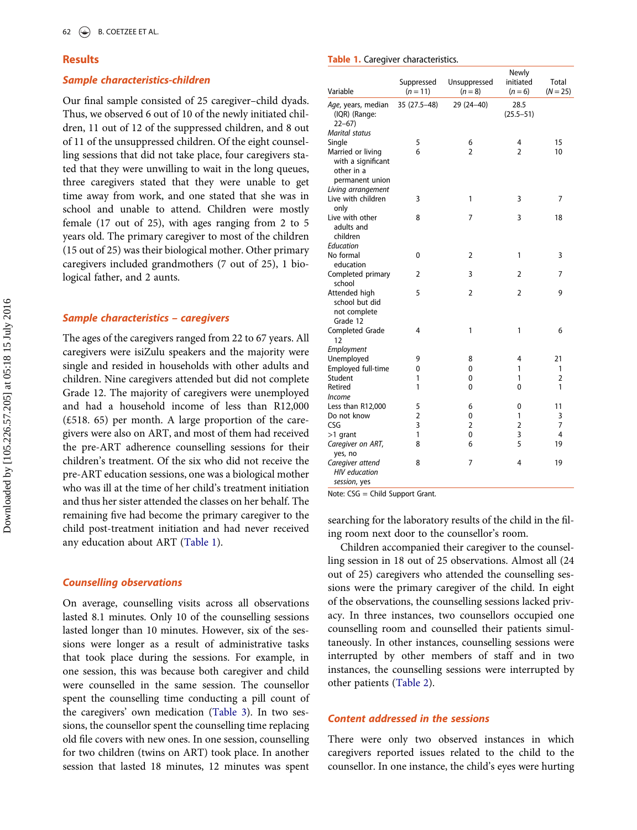# **Results**

#### Sample characteristics-children

Our final sample consisted of 25 caregiver–child dyads. Thus, we observed 6 out of 10 of the newly initiated children, 11 out of 12 of the suppressed children, and 8 out of 11 of the unsuppressed children. Of the eight counselling sessions that did not take place, four caregivers stated that they were unwilling to wait in the long queues, three caregivers stated that they were unable to get time away from work, and one stated that she was in school and unable to attend. Children were mostly female (17 out of 25), with ages ranging from 2 to 5 years old. The primary caregiver to most of the children (15 out of 25) was their biological mother. Other primary caregivers included grandmothers (7 out of 25), 1 biological father, and 2 aunts.

# Sample characteristics – caregivers

The ages of the caregivers ranged from 22 to 67 years. All caregivers were isiZulu speakers and the majority were single and resided in households with other adults and children. Nine caregivers attended but did not complete Grade 12. The majority of caregivers were unemployed and had a household income of less than R12,000 (£518. 65) per month. A large proportion of the caregivers were also on ART, and most of them had received the pre-ART adherence counselling sessions for their children's treatment. Of the six who did not receive the pre-ART education sessions, one was a biological mother who was ill at the time of her child's treatment initiation and thus her sister attended the classes on her behalf. The remaining five had become the primary caregiver to the child post-treatment initiation and had never received any education about ART (Table 1).

#### Counselling observations

On average, counselling visits across all observations lasted 8.1 minutes. Only 10 of the counselling sessions lasted longer than 10 minutes. However, six of the sessions were longer as a result of administrative tasks that took place during the sessions. For example, in one session, this was because both caregiver and child were counselled in the same session. The counsellor spent the counselling time conducting a pill count of the caregivers' own medication [\(Table 3\)](#page-4-0). In two sessions, the counsellor spent the counselling time replacing old file covers with new ones. In one session, counselling for two children (twins on ART) took place. In another session that lasted 18 minutes, 12 minutes was spent

#### Table 1. Caregiver characteristics.

| Variable                                                                 | Suppressed<br>$(n = 11)$ | Unsuppressed<br>$(n = 8)$ | Newly<br>initiated<br>$(n = 6)$ | Total<br>$(N = 25)$ |
|--------------------------------------------------------------------------|--------------------------|---------------------------|---------------------------------|---------------------|
| Age, years, median<br>(IQR) (Range:<br>$22 - 67$                         | 35 (27.5-48)             | 29 (24-40)                | 28.5<br>$(25.5 - 51)$           |                     |
| <b>Marital status</b>                                                    |                          |                           |                                 |                     |
| Single                                                                   | 5                        | 6                         | 4                               | 15                  |
| Married or living<br>with a significant<br>other in a<br>permanent union | 6                        | 2                         | $\overline{2}$                  | 10                  |
| Living arrangement                                                       |                          |                           |                                 |                     |
| Live with children<br>only                                               | 3                        | 1                         | 3                               | 7                   |
| Live with other<br>adults and<br>children                                | 8                        | 7                         | 3                               | 18                  |
| Education                                                                |                          |                           |                                 |                     |
| No formal<br>education                                                   | 0                        | $\overline{2}$            | 1                               | 3                   |
| Completed primary<br>school                                              | 2                        | 3                         | 2                               | 7                   |
| Attended high<br>school but did<br>not complete<br>Grade 12              | 5                        | $\overline{2}$            | 2                               | 9                   |
| Completed Grade<br>12                                                    | 4                        | 1                         | 1                               | 6                   |
| Employment                                                               |                          |                           |                                 |                     |
| Unemployed                                                               | 9                        | 8                         | 4                               | 21                  |
| Employed full-time                                                       | 0                        | 0                         | 1                               | 1                   |
| Student                                                                  | 1                        | 0                         | 1                               | $\overline{2}$      |
| Retired<br><i>Income</i>                                                 | 1                        | 0                         | 0                               | 1                   |
| Less than R12,000                                                        | 5                        | 6                         | 0                               | 11                  |
| Do not know                                                              | $\overline{2}$           | 0                         | 1                               | 3                   |
| CSG                                                                      | 3                        | $\overline{2}$            | $\overline{2}$                  | 7                   |
| >1 grant                                                                 | 1                        | 0                         | 3                               | 4                   |
| Caregiver on ART,<br>yes, no                                             | 8                        | 6                         | 5                               | 19                  |
| Caregiver attend<br><b>HIV</b> education<br>session, yes                 | 8                        | 7                         | 4                               | 19                  |

Note: CSG = Child Support Grant.

searching for the laboratory results of the child in the filing room next door to the counsellor's room.

Children accompanied their caregiver to the counselling session in 18 out of 25 observations. Almost all (24 out of 25) caregivers who attended the counselling sessions were the primary caregiver of the child. In eight of the observations, the counselling sessions lacked privacy. In three instances, two counsellors occupied one counselling room and counselled their patients simultaneously. In other instances, counselling sessions were interrupted by other members of staff and in two instances, the counselling sessions were interrupted by other patients ([Table 2](#page-4-0)).

# Content addressed in the sessions

There were only two observed instances in which caregivers reported issues related to the child to the counsellor. In one instance, the child's eyes were hurting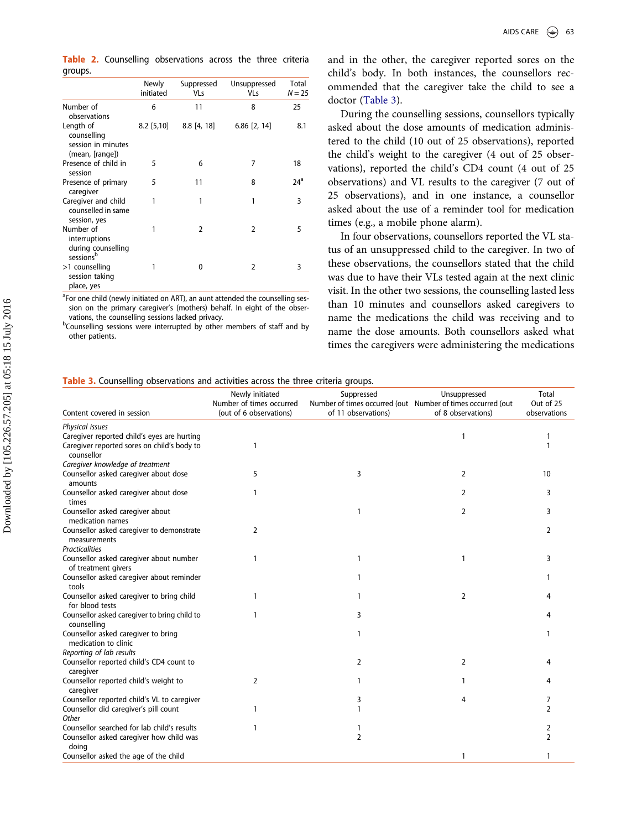<span id="page-4-0"></span>

|                                                                   | Newly<br>initiated | Suppressed<br>VLs | Unsuppressed<br>VLs | Total<br>$N = 25$ |
|-------------------------------------------------------------------|--------------------|-------------------|---------------------|-------------------|
| Number of<br>observations                                         | 6                  | 11                | 8                   | 25                |
| Length of<br>counselling<br>session in minutes<br>(mean, [range]) | $8.2$ [5,10]       | $8.8$ [4, 18]     | $6.86$ [2, 14]      | 8.1               |
| Presence of child in<br>session                                   | 5                  | 6                 | 7                   | 18                |
| Presence of primary<br>caregiver                                  | 5                  | 11                | 8                   | 24 <sup>a</sup>   |
| Caregiver and child<br>counselled in same<br>session, yes         | 1                  | 1                 | 1                   | 3                 |
| Number of<br>interruptions<br>during counselling<br>sessionsb     | 1                  | $\overline{2}$    | $\overline{2}$      | 5                 |
| >1 counselling<br>session taking<br>place, yes                    |                    | 0                 | 2                   | 3                 |

<sup>a</sup>For one child (newly initiated on ART), an aunt attended the counselling session on the primary caregiver's (mothers) behalf. In eight of the observations, the counselling sessions lacked privacy.

<sup>b</sup>Counselling sessions were interrupted by other members of staff and by other patients.

and in the other, the caregiver reported sores on the child's body. In both instances, the counsellors recommended that the caregiver take the child to see a doctor (Table 3).

During the counselling sessions, counsellors typically asked about the dose amounts of medication administered to the child (10 out of 25 observations), reported the child's weight to the caregiver (4 out of 25 observations), reported the child's CD4 count (4 out of 25 observations) and VL results to the caregiver (7 out of 25 observations), and in one instance, a counsellor asked about the use of a reminder tool for medication times (e.g., a mobile phone alarm).

In four observations, counsellors reported the VL status of an unsuppressed child to the caregiver. In two of these observations, the counsellors stated that the child was due to have their VLs tested again at the next clinic visit. In the other two sessions, the counselling lasted less than 10 minutes and counsellors asked caregivers to name the medications the child was receiving and to name the dose amounts. Both counsellors asked what times the caregivers were administering the medications

#### Table 3. Counselling observations and activities across the three criteria groups.

| Content covered in session                                     | Newly initiated<br>Number of times occurred<br>(out of 6 observations) | Suppressed<br>of 11 observations) | Unsuppressed<br>Number of times occurred (out Number of times occurred (out<br>of 8 observations) | Total<br>Out of 25<br>observations |
|----------------------------------------------------------------|------------------------------------------------------------------------|-----------------------------------|---------------------------------------------------------------------------------------------------|------------------------------------|
| Physical issues                                                |                                                                        |                                   |                                                                                                   |                                    |
| Caregiver reported child's eyes are hurting                    |                                                                        |                                   | 1                                                                                                 |                                    |
| Caregiver reported sores on child's body to<br>counsellor      | 1                                                                      |                                   |                                                                                                   |                                    |
| Caregiver knowledge of treatment                               |                                                                        |                                   |                                                                                                   |                                    |
| Counsellor asked caregiver about dose<br>amounts               | 5                                                                      | 3                                 | 2                                                                                                 | 10                                 |
| Counsellor asked caregiver about dose<br>times                 | 1                                                                      |                                   | 2                                                                                                 | 3                                  |
| Counsellor asked caregiver about<br>medication names           |                                                                        | 1                                 | 2                                                                                                 | 3                                  |
| Counsellor asked caregiver to demonstrate<br>measurements      | 2                                                                      |                                   |                                                                                                   | 2                                  |
| <b>Practicalities</b>                                          |                                                                        |                                   |                                                                                                   |                                    |
| Counsellor asked caregiver about number<br>of treatment givers | 1                                                                      | 1                                 | 1                                                                                                 | 3                                  |
| Counsellor asked caregiver about reminder<br>tools             |                                                                        |                                   |                                                                                                   |                                    |
| Counsellor asked caregiver to bring child<br>for blood tests   | 1                                                                      |                                   | 2                                                                                                 |                                    |
| Counsellor asked caregiver to bring child to<br>counselling    |                                                                        | 3                                 |                                                                                                   |                                    |
| Counsellor asked caregiver to bring<br>medication to clinic    |                                                                        |                                   |                                                                                                   |                                    |
| Reporting of lab results                                       |                                                                        |                                   |                                                                                                   |                                    |
| Counsellor reported child's CD4 count to<br>caregiver          |                                                                        | 2                                 | 2                                                                                                 |                                    |
| Counsellor reported child's weight to<br>caregiver             | 2                                                                      | 1                                 |                                                                                                   |                                    |
| Counsellor reported child's VL to caregiver                    |                                                                        | 3                                 | 4                                                                                                 |                                    |
| Counsellor did caregiver's pill count<br>Other                 | 1                                                                      |                                   |                                                                                                   | 2                                  |
| Counsellor searched for lab child's results                    | 1                                                                      |                                   |                                                                                                   |                                    |
| Counsellor asked caregiver how child was<br>doing              |                                                                        | $\overline{2}$                    |                                                                                                   | 2                                  |
| Counsellor asked the age of the child                          |                                                                        |                                   | 1                                                                                                 |                                    |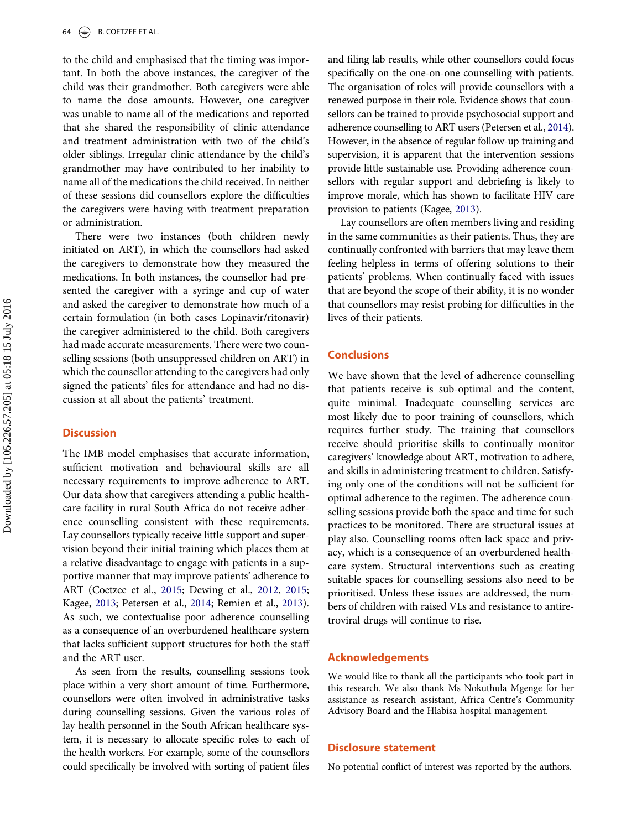<span id="page-5-0"></span>to the child and emphasised that the timing was important. In both the above instances, the caregiver of the child was their grandmother. Both caregivers were able to name the dose amounts. However, one caregiver was unable to name all of the medications and reported that she shared the responsibility of clinic attendance and treatment administration with two of the child's older siblings. Irregular clinic attendance by the child's grandmother may have contributed to her inability to name all of the medications the child received. In neither of these sessions did counsellors explore the difficulties the caregivers were having with treatment preparation or administration.

There were two instances (both children newly initiated on ART), in which the counsellors had asked the caregivers to demonstrate how they measured the medications. In both instances, the counsellor had presented the caregiver with a syringe and cup of water and asked the caregiver to demonstrate how much of a certain formulation (in both cases Lopinavir/ritonavir) the caregiver administered to the child. Both caregivers had made accurate measurements. There were two counselling sessions (both unsuppressed children on ART) in which the counsellor attending to the caregivers had only signed the patients' files for attendance and had no discussion at all about the patients' treatment.

# **Discussion**

The IMB model emphasises that accurate information, sufficient motivation and behavioural skills are all necessary requirements to improve adherence to ART. Our data show that caregivers attending a public healthcare facility in rural South Africa do not receive adherence counselling consistent with these requirements. Lay counsellors typically receive little support and supervision beyond their initial training which places them at a relative disadvantage to engage with patients in a supportive manner that may improve patients' adherence to ART (Coetzee et al., [2015](#page-6-0); Dewing et al., [2012](#page-6-0), [2015](#page-6-0); Kagee, [2013;](#page-6-0) Petersen et al., [2014](#page-6-0); Remien et al., [2013\)](#page-6-0). As such, we contextualise poor adherence counselling as a consequence of an overburdened healthcare system that lacks sufficient support structures for both the staff and the ART user.

As seen from the results, counselling sessions took place within a very short amount of time. Furthermore, counsellors were often involved in administrative tasks during counselling sessions. Given the various roles of lay health personnel in the South African healthcare system, it is necessary to allocate specific roles to each of the health workers. For example, some of the counsellors could specifically be involved with sorting of patient files

and filing lab results, while other counsellors could focus specifically on the one-on-one counselling with patients. The organisation of roles will provide counsellors with a renewed purpose in their role. Evidence shows that counsellors can be trained to provide psychosocial support and adherence counselling to ART users (Petersen et al., [2014\)](#page-6-0). However, in the absence of regular follow-up training and supervision, it is apparent that the intervention sessions provide little sustainable use. Providing adherence counsellors with regular support and debriefing is likely to improve morale, which has shown to facilitate HIV care provision to patients (Kagee, [2013](#page-6-0)).

Lay counsellors are often members living and residing in the same communities as their patients. Thus, they are continually confronted with barriers that may leave them feeling helpless in terms of offering solutions to their patients' problems. When continually faced with issues that are beyond the scope of their ability, it is no wonder that counsellors may resist probing for difficulties in the lives of their patients.

# **Conclusions**

We have shown that the level of adherence counselling that patients receive is sub-optimal and the content, quite minimal. Inadequate counselling services are most likely due to poor training of counsellors, which requires further study. The training that counsellors receive should prioritise skills to continually monitor caregivers' knowledge about ART, motivation to adhere, and skills in administering treatment to children. Satisfying only one of the conditions will not be sufficient for optimal adherence to the regimen. The adherence counselling sessions provide both the space and time for such practices to be monitored. There are structural issues at play also. Counselling rooms often lack space and privacy, which is a consequence of an overburdened healthcare system. Structural interventions such as creating suitable spaces for counselling sessions also need to be prioritised. Unless these issues are addressed, the numbers of children with raised VLs and resistance to antiretroviral drugs will continue to rise.

#### Acknowledgements

We would like to thank all the participants who took part in this research. We also thank Ms Nokuthula Mgenge for her assistance as research assistant, Africa Centre's Community Advisory Board and the Hlabisa hospital management.

#### Disclosure statement

No potential conflict of interest was reported by the authors.